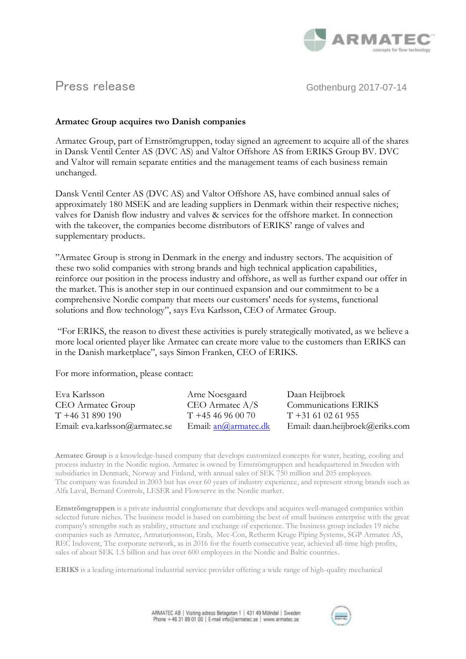

Press release Gothenburg 2017-07-14

## **Armatec Group acquires two Danish companies**

Armatec Group, part of Ernströmgruppen, today signed an agreement to acquire all of the shares in Dansk Ventil Center AS (DVC AS) and Valtor Offshore AS from ERIKS Group BV. DVC and Valtor will remain separate entities and the management teams of each business remain unchanged.

Dansk Ventil Center AS (DVC AS) and Valtor Offshore AS, have combined annual sales of approximately 180 MSEK and are leading suppliers in Denmark within their respective niches; valves for Danish flow industry and valves & services for the offshore market. In connection with the takeover, the companies become distributors of ERIKS' range of valves and supplementary products.

"Armatec Group is strong in Denmark in the energy and industry sectors. The acquisition of these two solid companies with strong brands and high technical application capabilities, reinforce our position in the process industry and offshore, as well as further expand our offer in the market. This is another step in our continued expansion and our commitment to be a comprehensive Nordic company that meets our customers' needs for systems, functional solutions and flow technology", says Eva Karlsson, CEO of Armatec Group.

"For ERIKS, the reason to divest these activities is purely strategically motivated, as we believe a more local oriented player like Armatec can create more value to the customers than ERIKS can in the Danish marketplace", says Simon Franken, CEO of ERIKS.

For more information, please contact:

| Eva Karlsson                   | Arne Noesgaard              | Daan Heijbroek                  |
|--------------------------------|-----------------------------|---------------------------------|
| <b>CEO</b> Armatec Group       | $CEO$ Armatec $A/S$         | Communications ERIKS            |
| $T + 4631890190$               | $T + 4546960070$            | $T + 31610261955$               |
| Email: eva.karlsson@armatec.se | Email: <u>an@armatec.dk</u> | Email: daan.heijbroek@eriks.com |

**Armatec Group** is a knowledge-based company that develops customized concepts for water, heating, cooling and process industry in the Nordic region. Armatec is owned by Ernströmgruppen and headquartered in Sweden with subsidiaries in Denmark, Norway and Finland, with annual sales of SEK 750 million and 205 employees. The company was founded in 2003 but has over 60 years of industry experience, and represent strong brands such as Alfa Laval, Bernard Controls, LESER and Flowserve in the Nordic market.

**Ernströmgruppen** is a private industrial conglomerate that develops and acquires well-managed companies within selected future niches. The business model is based on combining the best of small business enterprise with the great company's strengths such as stability, structure and exchange of experience. The business group includes 19 niche companies such as Armatec, Armaturjonsson, Erab, Mec-Con, Retherm Kruge Piping Systems, SGP Armatec AS, REC Indovent, The corporate network, as in 2016 for the fourth consecutive year, achieved all-time high profits, sales of about SEK 1.5 billion and has over 600 employees in the Nordic and Baltic countries.

**ERIKS** is a leading international industrial service provider offering a wide range of high-quality mechanical